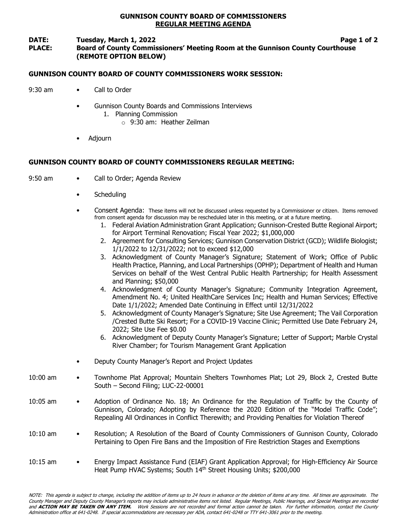### GUNNISON COUNTY BOARD OF COMMISSIONERS REGULAR MEETING AGENDA

## DATE: Tuesday, March 1, 2022 **Page 1** of 2

# PLACE: Board of County Commissioners' Meeting Room at the Gunnison County Courthouse (REMOTE OPTION BELOW)

### GUNNISON COUNTY BOARD OF COUNTY COMMISSIONERS WORK SESSION:

- 9:30 am Call to Order
	- Gunnison County Boards and Commissions Interviews
		- 1. Planning Commission
			- o 9:30 am: Heather Zeilman
	- Adjourn

# GUNNISON COUNTY BOARD OF COUNTY COMMISSIONERS REGULAR MEETING:

- 9:50 am Call to Order; Agenda Review
	- Scheduling
	- Consent Agenda: These items will not be discussed unless requested by a Commissioner or citizen. Items removed from consent agenda for discussion may be rescheduled later in this meeting, or at a future meeting.
		- 1. Federal Aviation Administration Grant Application; Gunnison-Crested Butte Regional Airport; for Airport Terminal Renovation; Fiscal Year 2022; \$1,000,000
		- 2. Agreement for Consulting Services; Gunnison Conservation District (GCD); Wildlife Biologist; 1/1/2022 to 12/31/2022; not to exceed \$12,000
		- 3. Acknowledgment of County Manager's Signature; Statement of Work; Office of Public Health Practice, Planning, and Local Partnerships (OPHP); Department of Health and Human Services on behalf of the West Central Public Health Partnership; for Health Assessment and Planning; \$50,000
		- 4. Acknowledgment of County Manager's Signature; Community Integration Agreement, Amendment No. 4; United HealthCare Services Inc; Health and Human Services; Effective Date 1/1/2022; Amended Date Continuing in Effect until 12/31/2022
		- 5. Acknowledgment of County Manager's Signature; Site Use Agreement; The Vail Corporation /Crested Butte Ski Resort; For a COVID-19 Vaccine Clinic; Permitted Use Date February 24, 2022; Site Use Fee \$0.00
		- 6. Acknowledgment of Deputy County Manager's Signature; Letter of Support; Marble Crystal River Chamber; for Tourism Management Grant Application
	- Deputy County Manager's Report and Project Updates
- 10:00 am Townhome Plat Approval; Mountain Shelters Townhomes Plat; Lot 29, Block 2, Crested Butte South – Second Filing; LUC-22-00001
- 10:05 am Adoption of Ordinance No. 18; An Ordinance for the Regulation of Traffic by the County of Gunnison, Colorado; Adopting by Reference the 2020 Edition of the "Model Traffic Code"; Repealing All Ordinances in Conflict Therewith; and Providing Penalties for Violation Thereof
- 10:10 am Resolution; A Resolution of the Board of County Commissioners of Gunnison County, Colorado Pertaining to Open Fire Bans and the Imposition of Fire Restriction Stages and Exemptions
- 10:15 am Energy Impact Assistance Fund (EIAF) Grant Application Approval; for High-Efficiency Air Source Heat Pump HVAC Systems; South 14<sup>th</sup> Street Housing Units; \$200,000